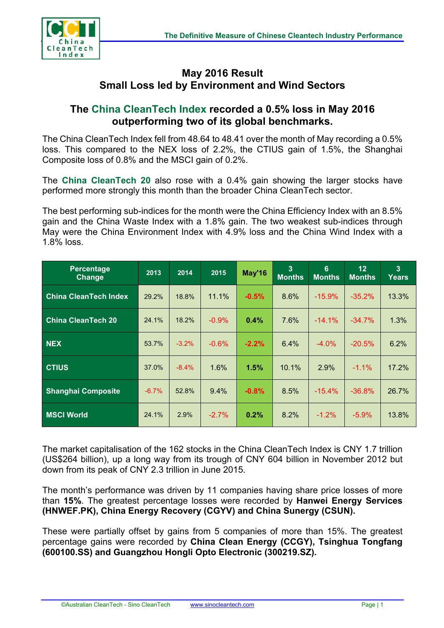

## **May 2016 Result Small Loss led by Environment and Wind Sectors**

## **The China CleanTech Index recorded a 0.5% loss in May 2016 outperforming two of its global benchmarks.**

The China CleanTech Index fell from 48.64 to 48.41 over the month of May recording a 0.5% loss. This compared to the NEX loss of 2.2%, the CTIUS gain of 1.5%, the Shanghai Composite loss of 0.8% and the MSCI gain of 0.2%.

The **China CleanTech 20** also rose with a 0.4% gain showing the larger stocks have performed more strongly this month than the broader China CleanTech sector.

The best performing sub-indices for the month were the China Efficiency Index with an 8.5% gain and the China Waste Index with a 1.8% gain. The two weakest sub-indices through May were the China Environment Index with 4.9% loss and the China Wind Index with a 1.8% loss.

| <b>Percentage</b><br><b>Change</b> | 2013    | 2014    | 2015     | May'16  | 3<br><b>Months</b> | 6<br><b>Months</b> | 12 <sub>2</sub><br><b>Months</b> | 3<br>Years |
|------------------------------------|---------|---------|----------|---------|--------------------|--------------------|----------------------------------|------------|
| <b>China CleanTech Index</b>       | 29.2%   | 18.8%   | 11.1%    | $-0.5%$ | 8.6%               | $-15.9\%$          | $-35.2\%$                        | 13.3%      |
| <b>China CleanTech 20</b>          | 24.1%   | 18.2%   | $-0.9%$  | 0.4%    | 7.6%               | $-14.1%$           | $-34.7%$                         | 1.3%       |
| <b>NEX</b>                         | 53.7%   | $-3.2%$ | $-0.6\%$ | $-2.2%$ | 6.4%               | $-4.0\%$           | $-20.5%$                         | 6.2%       |
| <b>CTIUS</b>                       | 37.0%   | $-8.4%$ | 1.6%     | 1.5%    | 10.1%              | 2.9%               | $-1.1%$                          | 17.2%      |
| <b>Shanghai Composite</b>          | $-6.7%$ | 52.8%   | 9.4%     | $-0.8%$ | 8.5%               | $-15.4%$           | $-36.8%$                         | 26.7%      |
| <b>MSCI World</b>                  | 24.1%   | 2.9%    | $-2.7\%$ | $0.2\%$ | 8.2%               | $-1.2\%$           | $-5.9%$                          | 13.8%      |

The market capitalisation of the 162 stocks in the China CleanTech Index is CNY 1.7 trillion (US\$264 billion), up a long way from its trough of CNY 604 billion in November 2012 but down from its peak of CNY 2.3 trillion in June 2015.

The month's performance was driven by 11 companies having share price losses of more than **15%**. The greatest percentage losses were recorded by **Hanwei Energy Services (HNWEF.PK), China Energy Recovery (CGYV) and China Sunergy (CSUN).**

These were partially offset by gains from 5 companies of more than 15%. The greatest percentage gains were recorded by **China Clean Energy (CCGY), Tsinghua Tongfang (600100.SS) and Guangzhou Hongli Opto Electronic (300219.SZ).**